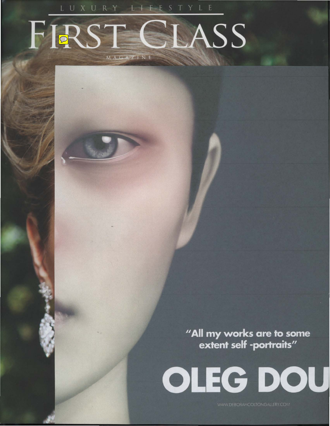LUXURY LIFEST

FIRST CLASS MAGAZINE

> "All my works are to some extent self -portraits"